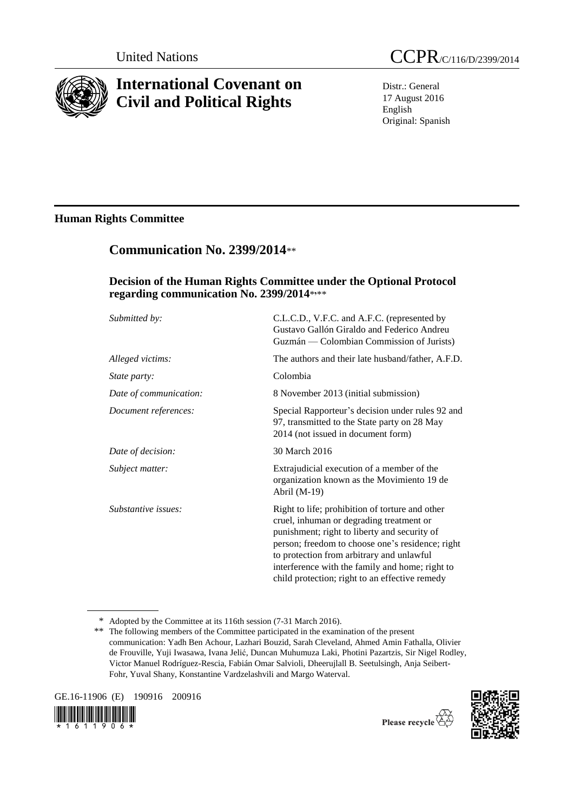

# **International Covenant on Civil and Political Rights**

Distr.: General 17 August 2016 English Original: Spanish

## **Human Rights Committee**

# **Communication No. 2399/2014**\*\*

### **Decision of the Human Rights Committee under the Optional Protocol regarding communication No. 2399/2014**\* **,** \*\*

| Submitted by:          | C.L.C.D., V.F.C. and A.F.C. (represented by<br>Gustavo Gallón Giraldo and Federico Andreu<br>Guzmán — Colombian Commission of Jurists)                                                                                                                                                                                                            |
|------------------------|---------------------------------------------------------------------------------------------------------------------------------------------------------------------------------------------------------------------------------------------------------------------------------------------------------------------------------------------------|
| Alleged victims:       | The authors and their late husband/father, A.F.D.                                                                                                                                                                                                                                                                                                 |
| <i>State party:</i>    | Colombia                                                                                                                                                                                                                                                                                                                                          |
| Date of communication: | 8 November 2013 (initial submission)                                                                                                                                                                                                                                                                                                              |
| Document references:   | Special Rapporteur's decision under rules 92 and<br>97, transmitted to the State party on 28 May<br>2014 (not issued in document form)                                                                                                                                                                                                            |
| Date of decision:      | 30 March 2016                                                                                                                                                                                                                                                                                                                                     |
| Subject matter:        | Extrajudicial execution of a member of the<br>organization known as the Movimiento 19 de<br>Abril $(M-19)$                                                                                                                                                                                                                                        |
| Substantive issues:    | Right to life; prohibition of torture and other<br>cruel, inhuman or degrading treatment or<br>punishment; right to liberty and security of<br>person; freedom to choose one's residence; right<br>to protection from arbitrary and unlawful<br>interference with the family and home; right to<br>child protection; right to an effective remedy |

<sup>\*</sup> Adopted by the Committee at its 116th session (7-31 March 2016).

GE.16-11906 (E) 190916 200916





Please recycle  $\overleftrightarrow{G}$ 

<sup>\*\*</sup> The following members of the Committee participated in the examination of the present communication: Yadh Ben Achour, Lazhari Bouzid, Sarah Cleveland, Ahmed Amin Fathalla, Olivier de Frouville, Yuji Iwasawa, Ivana Jelić, Duncan Muhumuza Laki, Photini Pazartzis, Sir Nigel Rodley, Victor Manuel Rodríguez-Rescia, Fabián Omar Salvioli, Dheerujlall B. Seetulsingh, Anja Seibert-Fohr, Yuval Shany, Konstantine Vardzelashvili and Margo Waterval.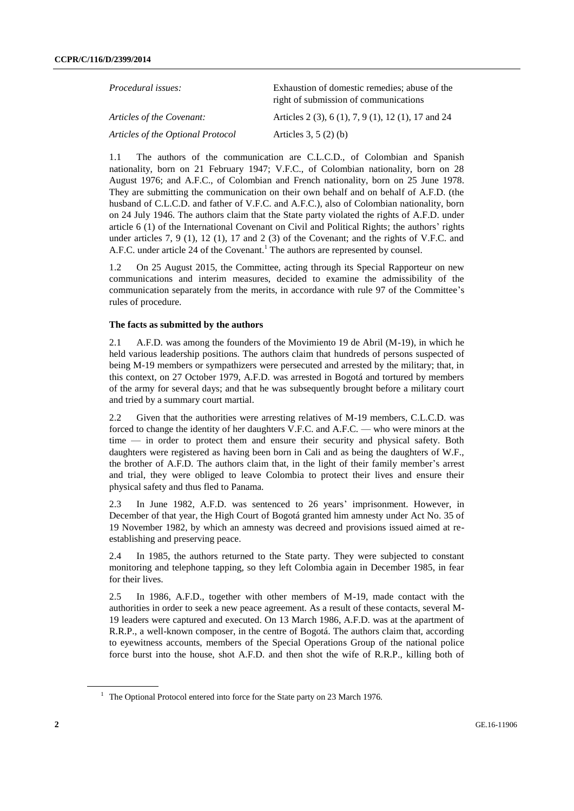| <i>Procedural issues:</i>         | Exhaustion of domestic remedies; abuse of the<br>right of submission of communications |
|-----------------------------------|----------------------------------------------------------------------------------------|
| Articles of the Covenant:         | Articles 2 (3), 6 (1), 7, 9 (1), 12 (1), 17 and 24                                     |
| Articles of the Optional Protocol | Articles $3, 5(2)(b)$                                                                  |

1.1 The authors of the communication are C.L.C.D., of Colombian and Spanish nationality, born on 21 February 1947; V.F.C., of Colombian nationality, born on 28 August 1976; and A.F.C., of Colombian and French nationality, born on 25 June 1978. They are submitting the communication on their own behalf and on behalf of A.F.D. (the husband of C.L.C.D. and father of V.F.C. and A.F.C.), also of Colombian nationality, born on 24 July 1946. The authors claim that the State party violated the rights of A.F.D. under article 6 (1) of the International Covenant on Civil and Political Rights; the authors' rights under articles 7, 9 (1), 12 (1), 17 and 2 (3) of the Covenant; and the rights of V.F.C. and A.F.C. under article 24 of the Covenant.<sup>1</sup> The authors are represented by counsel.

1.2 On 25 August 2015, the Committee, acting through its Special Rapporteur on new communications and interim measures, decided to examine the admissibility of the communication separately from the merits, in accordance with rule 97 of the Committee's rules of procedure.

#### **The facts as submitted by the authors**

2.1 A.F.D. was among the founders of the Movimiento 19 de Abril (M-19), in which he held various leadership positions. The authors claim that hundreds of persons suspected of being M-19 members or sympathizers were persecuted and arrested by the military; that, in this context, on 27 October 1979, A.F.D. was arrested in Bogotá and tortured by members of the army for several days; and that he was subsequently brought before a military court and tried by a summary court martial.

2.2 Given that the authorities were arresting relatives of M-19 members, C.L.C.D. was forced to change the identity of her daughters V.F.C. and A.F.C. — who were minors at the time — in order to protect them and ensure their security and physical safety. Both daughters were registered as having been born in Cali and as being the daughters of W.F., the brother of A.F.D. The authors claim that, in the light of their family member's arrest and trial, they were obliged to leave Colombia to protect their lives and ensure their physical safety and thus fled to Panama.

2.3 In June 1982, A.F.D. was sentenced to 26 years' imprisonment. However, in December of that year, the High Court of Bogotá granted him amnesty under Act No. 35 of 19 November 1982, by which an amnesty was decreed and provisions issued aimed at reestablishing and preserving peace.

2.4 In 1985, the authors returned to the State party. They were subjected to constant monitoring and telephone tapping, so they left Colombia again in December 1985, in fear for their lives.

2.5 In 1986, A.F.D., together with other members of M-19, made contact with the authorities in order to seek a new peace agreement. As a result of these contacts, several M-19 leaders were captured and executed. On 13 March 1986, A.F.D. was at the apartment of R.R.P., a well-known composer, in the centre of Bogotá. The authors claim that, according to eyewitness accounts, members of the Special Operations Group of the national police force burst into the house, shot A.F.D. and then shot the wife of R.R.P., killing both of

<sup>&</sup>lt;sup>1</sup> The Optional Protocol entered into force for the State party on 23 March 1976.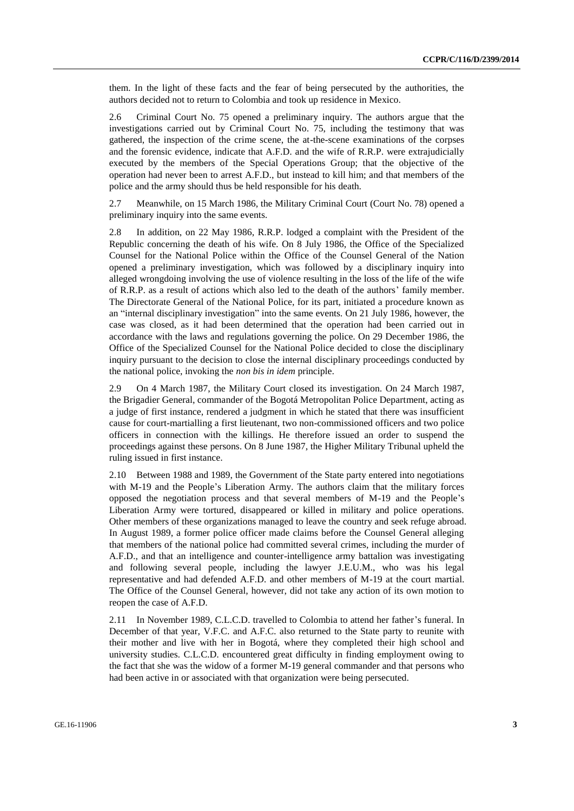them. In the light of these facts and the fear of being persecuted by the authorities, the authors decided not to return to Colombia and took up residence in Mexico.

2.6 Criminal Court No. 75 opened a preliminary inquiry. The authors argue that the investigations carried out by Criminal Court No. 75, including the testimony that was gathered, the inspection of the crime scene, the at-the-scene examinations of the corpses and the forensic evidence, indicate that A.F.D. and the wife of R.R.P. were extrajudicially executed by the members of the Special Operations Group; that the objective of the operation had never been to arrest A.F.D., but instead to kill him; and that members of the police and the army should thus be held responsible for his death.

2.7 Meanwhile, on 15 March 1986, the Military Criminal Court (Court No. 78) opened a preliminary inquiry into the same events.

2.8 In addition, on 22 May 1986, R.R.P. lodged a complaint with the President of the Republic concerning the death of his wife. On 8 July 1986, the Office of the Specialized Counsel for the National Police within the Office of the Counsel General of the Nation opened a preliminary investigation, which was followed by a disciplinary inquiry into alleged wrongdoing involving the use of violence resulting in the loss of the life of the wife of R.R.P. as a result of actions which also led to the death of the authors' family member. The Directorate General of the National Police, for its part, initiated a procedure known as an "internal disciplinary investigation" into the same events. On 21 July 1986, however, the case was closed, as it had been determined that the operation had been carried out in accordance with the laws and regulations governing the police. On 29 December 1986, the Office of the Specialized Counsel for the National Police decided to close the disciplinary inquiry pursuant to the decision to close the internal disciplinary proceedings conducted by the national police, invoking the *non bis in idem* principle.

2.9 On 4 March 1987, the Military Court closed its investigation. On 24 March 1987, the Brigadier General, commander of the Bogotá Metropolitan Police Department, acting as a judge of first instance, rendered a judgment in which he stated that there was insufficient cause for court-martialling a first lieutenant, two non-commissioned officers and two police officers in connection with the killings. He therefore issued an order to suspend the proceedings against these persons. On 8 June 1987, the Higher Military Tribunal upheld the ruling issued in first instance.

2.10 Between 1988 and 1989, the Government of the State party entered into negotiations with M-19 and the People's Liberation Army. The authors claim that the military forces opposed the negotiation process and that several members of M-19 and the People's Liberation Army were tortured, disappeared or killed in military and police operations. Other members of these organizations managed to leave the country and seek refuge abroad. In August 1989, a former police officer made claims before the Counsel General alleging that members of the national police had committed several crimes, including the murder of A.F.D., and that an intelligence and counter-intelligence army battalion was investigating and following several people, including the lawyer J.E.U.M., who was his legal representative and had defended A.F.D. and other members of M-19 at the court martial. The Office of the Counsel General, however, did not take any action of its own motion to reopen the case of A.F.D.

2.11 In November 1989, C.L.C.D. travelled to Colombia to attend her father's funeral. In December of that year, V.F.C. and A.F.C. also returned to the State party to reunite with their mother and live with her in Bogotá, where they completed their high school and university studies. C.L.C.D. encountered great difficulty in finding employment owing to the fact that she was the widow of a former M-19 general commander and that persons who had been active in or associated with that organization were being persecuted.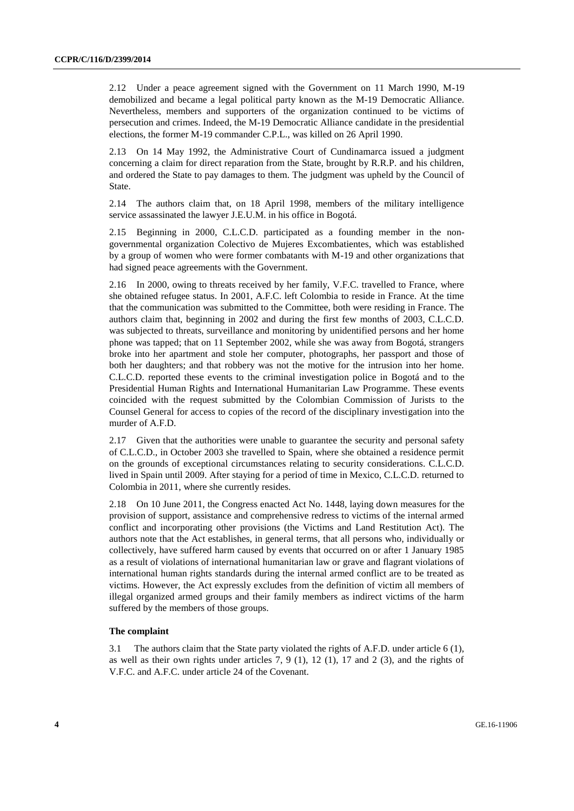2.12 Under a peace agreement signed with the Government on 11 March 1990, M-19 demobilized and became a legal political party known as the M-19 Democratic Alliance. Nevertheless, members and supporters of the organization continued to be victims of persecution and crimes. Indeed, the M-19 Democratic Alliance candidate in the presidential elections, the former M-19 commander C.P.L., was killed on 26 April 1990.

2.13 On 14 May 1992, the Administrative Court of Cundinamarca issued a judgment concerning a claim for direct reparation from the State, brought by R.R.P. and his children, and ordered the State to pay damages to them. The judgment was upheld by the Council of State.

2.14 The authors claim that, on 18 April 1998, members of the military intelligence service assassinated the lawyer J.E.U.M. in his office in Bogotá.

2.15 Beginning in 2000, C.L.C.D. participated as a founding member in the nongovernmental organization Colectivo de Mujeres Excombatientes, which was established by a group of women who were former combatants with M-19 and other organizations that had signed peace agreements with the Government.

2.16 In 2000, owing to threats received by her family, V.F.C. travelled to France, where she obtained refugee status. In 2001, A.F.C. left Colombia to reside in France. At the time that the communication was submitted to the Committee, both were residing in France. The authors claim that, beginning in 2002 and during the first few months of 2003, C.L.C.D. was subjected to threats, surveillance and monitoring by unidentified persons and her home phone was tapped; that on 11 September 2002, while she was away from Bogotá, strangers broke into her apartment and stole her computer, photographs, her passport and those of both her daughters; and that robbery was not the motive for the intrusion into her home. C.L.C.D. reported these events to the criminal investigation police in Bogotá and to the Presidential Human Rights and International Humanitarian Law Programme. These events coincided with the request submitted by the Colombian Commission of Jurists to the Counsel General for access to copies of the record of the disciplinary investigation into the murder of A.F.D.

2.17 Given that the authorities were unable to guarantee the security and personal safety of C.L.C.D., in October 2003 she travelled to Spain, where she obtained a residence permit on the grounds of exceptional circumstances relating to security considerations. C.L.C.D. lived in Spain until 2009. After staying for a period of time in Mexico, C.L.C.D. returned to Colombia in 2011, where she currently resides.

2.18 On 10 June 2011, the Congress enacted Act No. 1448, laying down measures for the provision of support, assistance and comprehensive redress to victims of the internal armed conflict and incorporating other provisions (the Victims and Land Restitution Act). The authors note that the Act establishes, in general terms, that all persons who, individually or collectively, have suffered harm caused by events that occurred on or after 1 January 1985 as a result of violations of international humanitarian law or grave and flagrant violations of international human rights standards during the internal armed conflict are to be treated as victims. However, the Act expressly excludes from the definition of victim all members of illegal organized armed groups and their family members as indirect victims of the harm suffered by the members of those groups.

#### **The complaint**

3.1 The authors claim that the State party violated the rights of A.F.D. under article 6 (1), as well as their own rights under articles 7, 9 (1), 12 (1), 17 and 2 (3), and the rights of V.F.C. and A.F.C. under article 24 of the Covenant.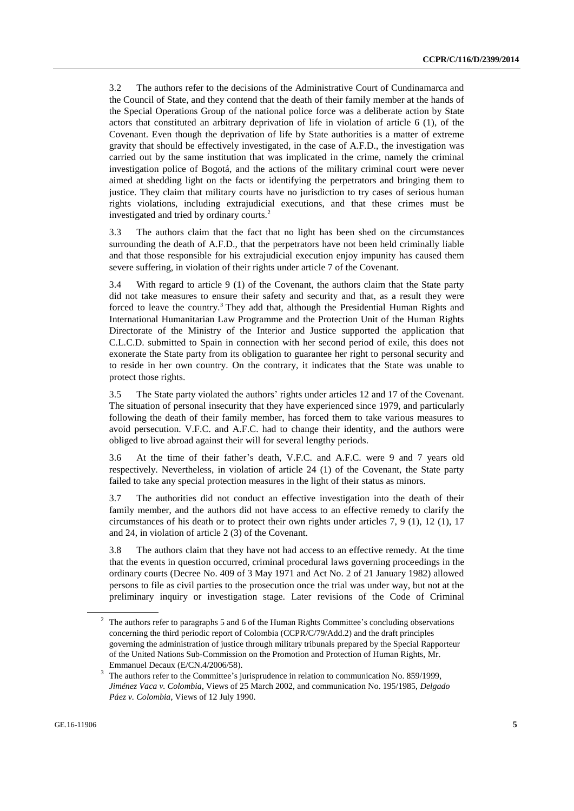3.2 The authors refer to the decisions of the Administrative Court of Cundinamarca and the Council of State, and they contend that the death of their family member at the hands of the Special Operations Group of the national police force was a deliberate action by State actors that constituted an arbitrary deprivation of life in violation of article 6 (1), of the Covenant. Even though the deprivation of life by State authorities is a matter of extreme gravity that should be effectively investigated, in the case of A.F.D., the investigation was carried out by the same institution that was implicated in the crime, namely the criminal investigation police of Bogotá, and the actions of the military criminal court were never aimed at shedding light on the facts or identifying the perpetrators and bringing them to justice. They claim that military courts have no jurisdiction to try cases of serious human rights violations, including extrajudicial executions, and that these crimes must be investigated and tried by ordinary courts.<sup>2</sup>

3.3 The authors claim that the fact that no light has been shed on the circumstances surrounding the death of A.F.D., that the perpetrators have not been held criminally liable and that those responsible for his extrajudicial execution enjoy impunity has caused them severe suffering, in violation of their rights under article 7 of the Covenant.

3.4 With regard to article 9 (1) of the Covenant, the authors claim that the State party did not take measures to ensure their safety and security and that, as a result they were forced to leave the country.<sup>3</sup> They add that, although the Presidential Human Rights and International Humanitarian Law Programme and the Protection Unit of the Human Rights Directorate of the Ministry of the Interior and Justice supported the application that C.L.C.D. submitted to Spain in connection with her second period of exile, this does not exonerate the State party from its obligation to guarantee her right to personal security and to reside in her own country. On the contrary, it indicates that the State was unable to protect those rights.

3.5 The State party violated the authors' rights under articles 12 and 17 of the Covenant. The situation of personal insecurity that they have experienced since 1979, and particularly following the death of their family member, has forced them to take various measures to avoid persecution. V.F.C. and A.F.C. had to change their identity, and the authors were obliged to live abroad against their will for several lengthy periods.

3.6 At the time of their father's death, V.F.C. and A.F.C. were 9 and 7 years old respectively. Nevertheless, in violation of article 24 (1) of the Covenant, the State party failed to take any special protection measures in the light of their status as minors.

3.7 The authorities did not conduct an effective investigation into the death of their family member, and the authors did not have access to an effective remedy to clarify the circumstances of his death or to protect their own rights under articles 7, 9 (1), 12 (1), 17 and 24, in violation of article 2 (3) of the Covenant.

3.8 The authors claim that they have not had access to an effective remedy. At the time that the events in question occurred, criminal procedural laws governing proceedings in the ordinary courts (Decree No. 409 of 3 May 1971 and Act No. 2 of 21 January 1982) allowed persons to file as civil parties to the prosecution once the trial was under way, but not at the preliminary inquiry or investigation stage. Later revisions of the Code of Criminal

<sup>&</sup>lt;sup>2</sup> The authors refer to paragraphs 5 and 6 of the Human Rights Committee's concluding observations concerning the third periodic report of Colombia (CCPR/C/79/Add.2) and the draft principles governing the administration of justice through military tribunals prepared by the Special Rapporteur of the United Nations Sub-Commission on the Promotion and Protection of Human Rights, Mr. Emmanuel Decaux (E/CN.4/2006/58).

<sup>&</sup>lt;sup>3</sup> The authors refer to the Committee's jurisprudence in relation to communication No. 859/1999, *Jiménez Vaca v. Colombia*, Views of 25 March 2002, and communication No. 195/1985, *Delgado Páez v. Colombia*, Views of 12 July 1990.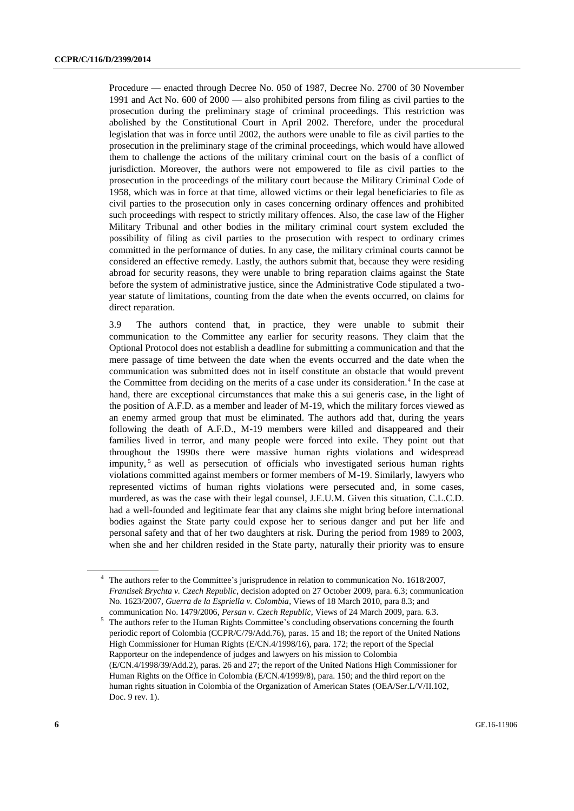Procedure — enacted through Decree No. 050 of 1987, Decree No. 2700 of 30 November 1991 and Act No. 600 of 2000 — also prohibited persons from filing as civil parties to the prosecution during the preliminary stage of criminal proceedings. This restriction was abolished by the Constitutional Court in April 2002. Therefore, under the procedural legislation that was in force until 2002, the authors were unable to file as civil parties to the prosecution in the preliminary stage of the criminal proceedings, which would have allowed them to challenge the actions of the military criminal court on the basis of a conflict of jurisdiction. Moreover, the authors were not empowered to file as civil parties to the prosecution in the proceedings of the military court because the Military Criminal Code of 1958, which was in force at that time, allowed victims or their legal beneficiaries to file as civil parties to the prosecution only in cases concerning ordinary offences and prohibited such proceedings with respect to strictly military offences. Also, the case law of the Higher Military Tribunal and other bodies in the military criminal court system excluded the possibility of filing as civil parties to the prosecution with respect to ordinary crimes committed in the performance of duties. In any case, the military criminal courts cannot be considered an effective remedy. Lastly, the authors submit that, because they were residing abroad for security reasons, they were unable to bring reparation claims against the State before the system of administrative justice, since the Administrative Code stipulated a twoyear statute of limitations, counting from the date when the events occurred, on claims for direct reparation.

3.9 The authors contend that, in practice, they were unable to submit their communication to the Committee any earlier for security reasons. They claim that the Optional Protocol does not establish a deadline for submitting a communication and that the mere passage of time between the date when the events occurred and the date when the communication was submitted does not in itself constitute an obstacle that would prevent the Committee from deciding on the merits of a case under its consideration.<sup>4</sup> In the case at hand, there are exceptional circumstances that make this a sui generis case, in the light of the position of A.F.D. as a member and leader of M-19, which the military forces viewed as an enemy armed group that must be eliminated. The authors add that, during the years following the death of A.F.D., M-19 members were killed and disappeared and their families lived in terror, and many people were forced into exile. They point out that throughout the 1990s there were massive human rights violations and widespread impunity,<sup>5</sup> as well as persecution of officials who investigated serious human rights violations committed against members or former members of M-19. Similarly, lawyers who represented victims of human rights violations were persecuted and, in some cases, murdered, as was the case with their legal counsel, J.E.U.M. Given this situation, C.L.C.D. had a well-founded and legitimate fear that any claims she might bring before international bodies against the State party could expose her to serious danger and put her life and personal safety and that of her two daughters at risk. During the period from 1989 to 2003, when she and her children resided in the State party, naturally their priority was to ensure

The authors refer to the Committee's jurisprudence in relation to communication No. 1618/2007, *Frantisek Brychta v. Czech Republic*, decision adopted on 27 October 2009, para. 6.3; communication No. 1623/2007, *Guerra de la Espriella v. Colombia*, Views of 18 March 2010, para 8.3; and communication No. 1479/2006, *Persan v. Czech Republic*, Views of 24 March 2009, para. 6.3.

<sup>&</sup>lt;sup>5</sup> The authors refer to the Human Rights Committee's concluding observations concerning the fourth periodic report of Colombia (CCPR/C/79/Add.76), paras. 15 and 18; the report of the United Nations High Commissioner for Human Rights (E/CN.4/1998/16), para. 172; the report of the Special Rapporteur on the independence of judges and lawyers on his mission to Colombia (E/CN.4/1998/39/Add.2), paras. 26 and 27; the report of the United Nations High Commissioner for Human Rights on the Office in Colombia (E/CN.4/1999/8), para. 150; and the third report on the human rights situation in Colombia of the Organization of American States (OEA/Ser.L/V/II.102, Doc. 9 rev. 1).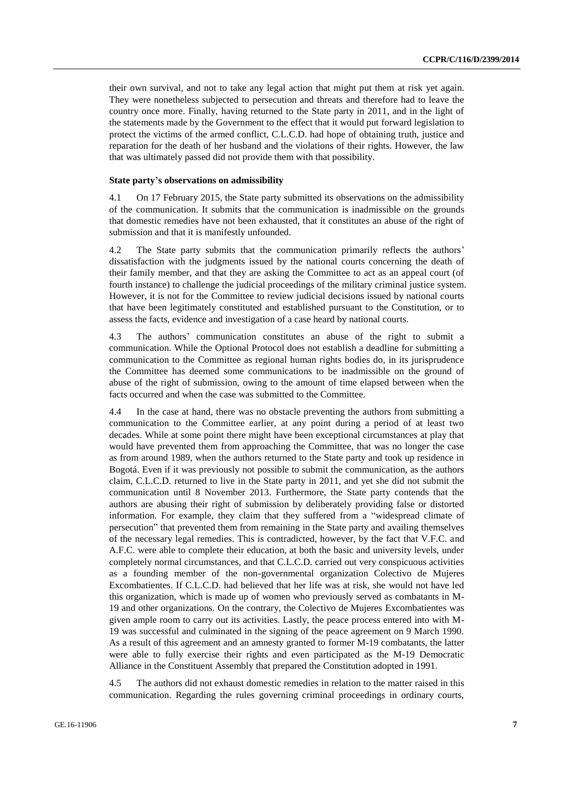their own survival, and not to take any legal action that might put them at risk yet again. They were nonetheless subjected to persecution and threats and therefore had to leave the country once more. Finally, having returned to the State party in 2011, and in the light of the statements made by the Government to the effect that it would put forward legislation to protect the victims of the armed conflict, C.L.C.D. had hope of obtaining truth, justice and reparation for the death of her husband and the violations of their rights. However, the law that was ultimately passed did not provide them with that possibility.

#### **State party's observations on admissibility**

4.1 On 17 February 2015, the State party submitted its observations on the admissibility of the communication. It submits that the communication is inadmissible on the grounds that domestic remedies have not been exhausted, that it constitutes an abuse of the right of submission and that it is manifestly unfounded.

4.2 The State party submits that the communication primarily reflects the authors' dissatisfaction with the judgments issued by the national courts concerning the death of their family member, and that they are asking the Committee to act as an appeal court (of fourth instance) to challenge the judicial proceedings of the military criminal justice system. However, it is not for the Committee to review judicial decisions issued by national courts that have been legitimately constituted and established pursuant to the Constitution, or to assess the facts, evidence and investigation of a case heard by national courts.

4.3 The authors' communication constitutes an abuse of the right to submit a communication. While the Optional Protocol does not establish a deadline for submitting a communication to the Committee as regional human rights bodies do, in its jurisprudence the Committee has deemed some communications to be inadmissible on the ground of abuse of the right of submission, owing to the amount of time elapsed between when the facts occurred and when the case was submitted to the Committee.

4.4 In the case at hand, there was no obstacle preventing the authors from submitting a communication to the Committee earlier, at any point during a period of at least two decades. While at some point there might have been exceptional circumstances at play that would have prevented them from approaching the Committee, that was no longer the case as from around 1989, when the authors returned to the State party and took up residence in Bogotá. Even if it was previously not possible to submit the communication, as the authors claim, C.L.C.D. returned to live in the State party in 2011, and yet she did not submit the communication until 8 November 2013. Furthermore, the State party contends that the authors are abusing their right of submission by deliberately providing false or distorted information. For example, they claim that they suffered from a "widespread climate of persecution" that prevented them from remaining in the State party and availing themselves of the necessary legal remedies. This is contradicted, however, by the fact that V.F.C. and A.F.C. were able to complete their education, at both the basic and university levels, under completely normal circumstances, and that C.L.C.D. carried out very conspicuous activities as a founding member of the non-governmental organization Colectivo de Mujeres Excombatientes. If C.L.C.D. had believed that her life was at risk, she would not have led this organization, which is made up of women who previously served as combatants in M-19 and other organizations. On the contrary, the Colectivo de Mujeres Excombatientes was given ample room to carry out its activities. Lastly, the peace process entered into with M-19 was successful and culminated in the signing of the peace agreement on 9 March 1990. As a result of this agreement and an amnesty granted to former M-19 combatants, the latter were able to fully exercise their rights and even participated as the M-19 Democratic Alliance in the Constituent Assembly that prepared the Constitution adopted in 1991.

4.5 The authors did not exhaust domestic remedies in relation to the matter raised in this communication. Regarding the rules governing criminal proceedings in ordinary courts,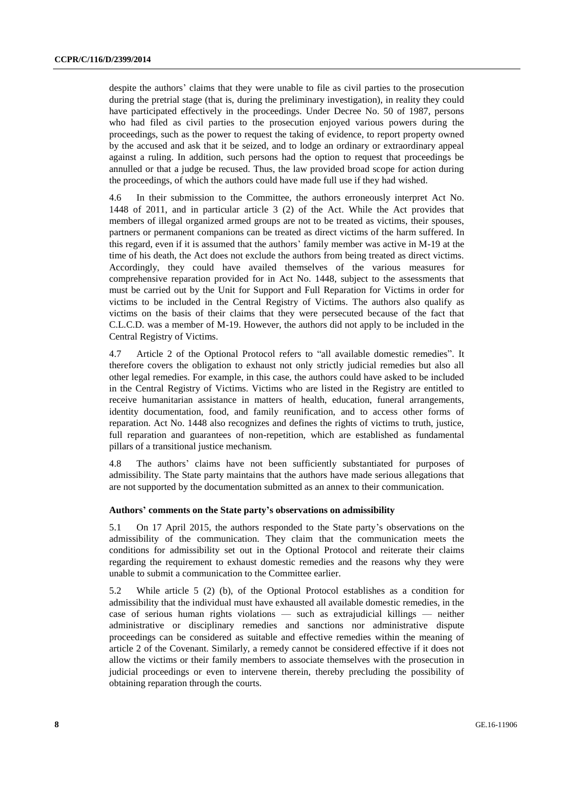despite the authors' claims that they were unable to file as civil parties to the prosecution during the pretrial stage (that is, during the preliminary investigation), in reality they could have participated effectively in the proceedings. Under Decree No. 50 of 1987, persons who had filed as civil parties to the prosecution enjoyed various powers during the proceedings, such as the power to request the taking of evidence, to report property owned by the accused and ask that it be seized, and to lodge an ordinary or extraordinary appeal against a ruling. In addition, such persons had the option to request that proceedings be annulled or that a judge be recused. Thus, the law provided broad scope for action during the proceedings, of which the authors could have made full use if they had wished.

4.6 In their submission to the Committee, the authors erroneously interpret Act No. 1448 of 2011, and in particular article 3 (2) of the Act. While the Act provides that members of illegal organized armed groups are not to be treated as victims, their spouses, partners or permanent companions can be treated as direct victims of the harm suffered. In this regard, even if it is assumed that the authors' family member was active in M-19 at the time of his death, the Act does not exclude the authors from being treated as direct victims. Accordingly, they could have availed themselves of the various measures for comprehensive reparation provided for in Act No. 1448, subject to the assessments that must be carried out by the Unit for Support and Full Reparation for Victims in order for victims to be included in the Central Registry of Victims. The authors also qualify as victims on the basis of their claims that they were persecuted because of the fact that C.L.C.D. was a member of M-19. However, the authors did not apply to be included in the Central Registry of Victims.

4.7 Article 2 of the Optional Protocol refers to "all available domestic remedies". It therefore covers the obligation to exhaust not only strictly judicial remedies but also all other legal remedies. For example, in this case, the authors could have asked to be included in the Central Registry of Victims. Victims who are listed in the Registry are entitled to receive humanitarian assistance in matters of health, education, funeral arrangements, identity documentation, food, and family reunification, and to access other forms of reparation. Act No. 1448 also recognizes and defines the rights of victims to truth, justice, full reparation and guarantees of non-repetition, which are established as fundamental pillars of a transitional justice mechanism.

4.8 The authors' claims have not been sufficiently substantiated for purposes of admissibility. The State party maintains that the authors have made serious allegations that are not supported by the documentation submitted as an annex to their communication.

#### **Authors' comments on the State party's observations on admissibility**

5.1 On 17 April 2015, the authors responded to the State party's observations on the admissibility of the communication. They claim that the communication meets the conditions for admissibility set out in the Optional Protocol and reiterate their claims regarding the requirement to exhaust domestic remedies and the reasons why they were unable to submit a communication to the Committee earlier.

5.2 While article 5 (2) (b), of the Optional Protocol establishes as a condition for admissibility that the individual must have exhausted all available domestic remedies, in the case of serious human rights violations — such as extrajudicial killings — neither administrative or disciplinary remedies and sanctions nor administrative dispute proceedings can be considered as suitable and effective remedies within the meaning of article 2 of the Covenant. Similarly, a remedy cannot be considered effective if it does not allow the victims or their family members to associate themselves with the prosecution in judicial proceedings or even to intervene therein, thereby precluding the possibility of obtaining reparation through the courts.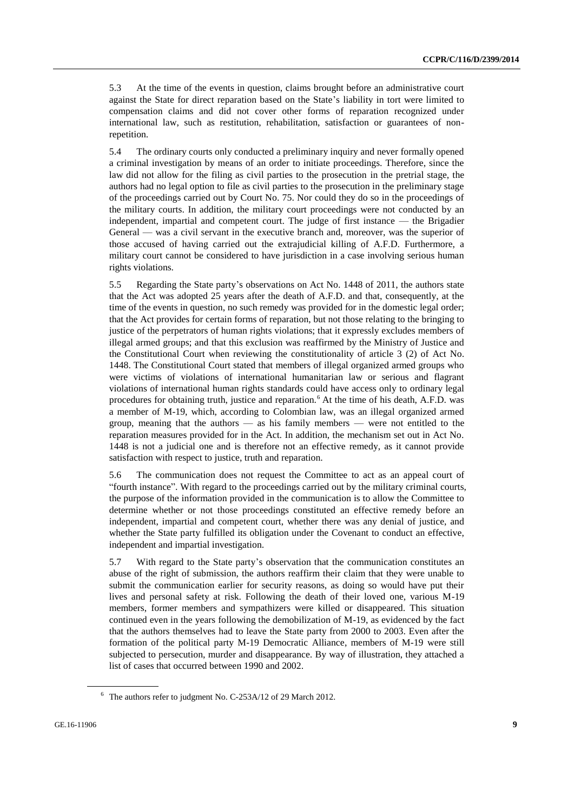5.3 At the time of the events in question, claims brought before an administrative court against the State for direct reparation based on the State's liability in tort were limited to compensation claims and did not cover other forms of reparation recognized under international law, such as restitution, rehabilitation, satisfaction or guarantees of nonrepetition.

5.4 The ordinary courts only conducted a preliminary inquiry and never formally opened a criminal investigation by means of an order to initiate proceedings. Therefore, since the law did not allow for the filing as civil parties to the prosecution in the pretrial stage, the authors had no legal option to file as civil parties to the prosecution in the preliminary stage of the proceedings carried out by Court No. 75. Nor could they do so in the proceedings of the military courts. In addition, the military court proceedings were not conducted by an independent, impartial and competent court. The judge of first instance — the Brigadier General — was a civil servant in the executive branch and, moreover, was the superior of those accused of having carried out the extrajudicial killing of A.F.D. Furthermore, a military court cannot be considered to have jurisdiction in a case involving serious human rights violations.

5.5 Regarding the State party's observations on Act No. 1448 of 2011, the authors state that the Act was adopted 25 years after the death of A.F.D. and that, consequently, at the time of the events in question, no such remedy was provided for in the domestic legal order; that the Act provides for certain forms of reparation, but not those relating to the bringing to justice of the perpetrators of human rights violations; that it expressly excludes members of illegal armed groups; and that this exclusion was reaffirmed by the Ministry of Justice and the Constitutional Court when reviewing the constitutionality of article 3 (2) of Act No. 1448. The Constitutional Court stated that members of illegal organized armed groups who were victims of violations of international humanitarian law or serious and flagrant violations of international human rights standards could have access only to ordinary legal procedures for obtaining truth, justice and reparation.<sup>6</sup> At the time of his death, A.F.D. was a member of M-19, which, according to Colombian law, was an illegal organized armed group, meaning that the authors — as his family members — were not entitled to the reparation measures provided for in the Act. In addition, the mechanism set out in Act No. 1448 is not a judicial one and is therefore not an effective remedy, as it cannot provide satisfaction with respect to justice, truth and reparation.

5.6 The communication does not request the Committee to act as an appeal court of "fourth instance". With regard to the proceedings carried out by the military criminal courts, the purpose of the information provided in the communication is to allow the Committee to determine whether or not those proceedings constituted an effective remedy before an independent, impartial and competent court, whether there was any denial of justice, and whether the State party fulfilled its obligation under the Covenant to conduct an effective, independent and impartial investigation.

5.7 With regard to the State party's observation that the communication constitutes an abuse of the right of submission, the authors reaffirm their claim that they were unable to submit the communication earlier for security reasons, as doing so would have put their lives and personal safety at risk. Following the death of their loved one, various M-19 members, former members and sympathizers were killed or disappeared. This situation continued even in the years following the demobilization of M-19, as evidenced by the fact that the authors themselves had to leave the State party from 2000 to 2003. Even after the formation of the political party M-19 Democratic Alliance, members of M-19 were still subjected to persecution, murder and disappearance. By way of illustration, they attached a list of cases that occurred between 1990 and 2002.

<sup>6</sup> The authors refer to judgment No. C-253A/12 of 29 March 2012.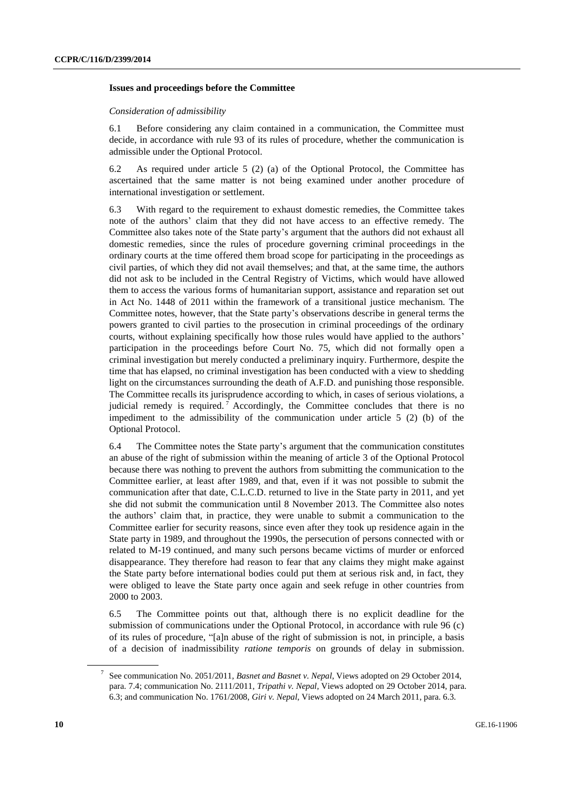#### **Issues and proceedings before the Committee**

#### *Consideration of admissibility*

6.1 Before considering any claim contained in a communication, the Committee must decide, in accordance with rule 93 of its rules of procedure, whether the communication is admissible under the Optional Protocol.

6.2 As required under article 5 (2) (a) of the Optional Protocol, the Committee has ascertained that the same matter is not being examined under another procedure of international investigation or settlement.

6.3 With regard to the requirement to exhaust domestic remedies, the Committee takes note of the authors' claim that they did not have access to an effective remedy. The Committee also takes note of the State party's argument that the authors did not exhaust all domestic remedies, since the rules of procedure governing criminal proceedings in the ordinary courts at the time offered them broad scope for participating in the proceedings as civil parties, of which they did not avail themselves; and that, at the same time, the authors did not ask to be included in the Central Registry of Victims, which would have allowed them to access the various forms of humanitarian support, assistance and reparation set out in Act No. 1448 of 2011 within the framework of a transitional justice mechanism. The Committee notes, however, that the State party's observations describe in general terms the powers granted to civil parties to the prosecution in criminal proceedings of the ordinary courts, without explaining specifically how those rules would have applied to the authors' participation in the proceedings before Court No. 75, which did not formally open a criminal investigation but merely conducted a preliminary inquiry. Furthermore, despite the time that has elapsed, no criminal investigation has been conducted with a view to shedding light on the circumstances surrounding the death of A.F.D. and punishing those responsible. The Committee recalls its jurisprudence according to which, in cases of serious violations, a judicial remedy is required.<sup>7</sup> Accordingly, the Committee concludes that there is no impediment to the admissibility of the communication under article  $5(2)$  (b) of the Optional Protocol.

6.4 The Committee notes the State party's argument that the communication constitutes an abuse of the right of submission within the meaning of article 3 of the Optional Protocol because there was nothing to prevent the authors from submitting the communication to the Committee earlier, at least after 1989, and that, even if it was not possible to submit the communication after that date, C.L.C.D. returned to live in the State party in 2011, and yet she did not submit the communication until 8 November 2013. The Committee also notes the authors' claim that, in practice, they were unable to submit a communication to the Committee earlier for security reasons, since even after they took up residence again in the State party in 1989, and throughout the 1990s, the persecution of persons connected with or related to M-19 continued, and many such persons became victims of murder or enforced disappearance. They therefore had reason to fear that any claims they might make against the State party before international bodies could put them at serious risk and, in fact, they were obliged to leave the State party once again and seek refuge in other countries from 2000 to 2003.

6.5 The Committee points out that, although there is no explicit deadline for the submission of communications under the Optional Protocol, in accordance with rule 96 (c) of its rules of procedure, "[a]n abuse of the right of submission is not, in principle, a basis of a decision of inadmissibility *ratione temporis* on grounds of delay in submission.

<sup>7</sup> See communication No. 2051/2011, *Basnet and Basnet v. Nepal*, Views adopted on 29 October 2014, para. 7.4; communication No. 2111/2011, *Tripathi v. Nepal*, Views adopted on 29 October 2014, para. 6.3; and communication No. 1761/2008, *Giri v. Nepal*, Views adopted on 24 March 2011, para. 6.3.